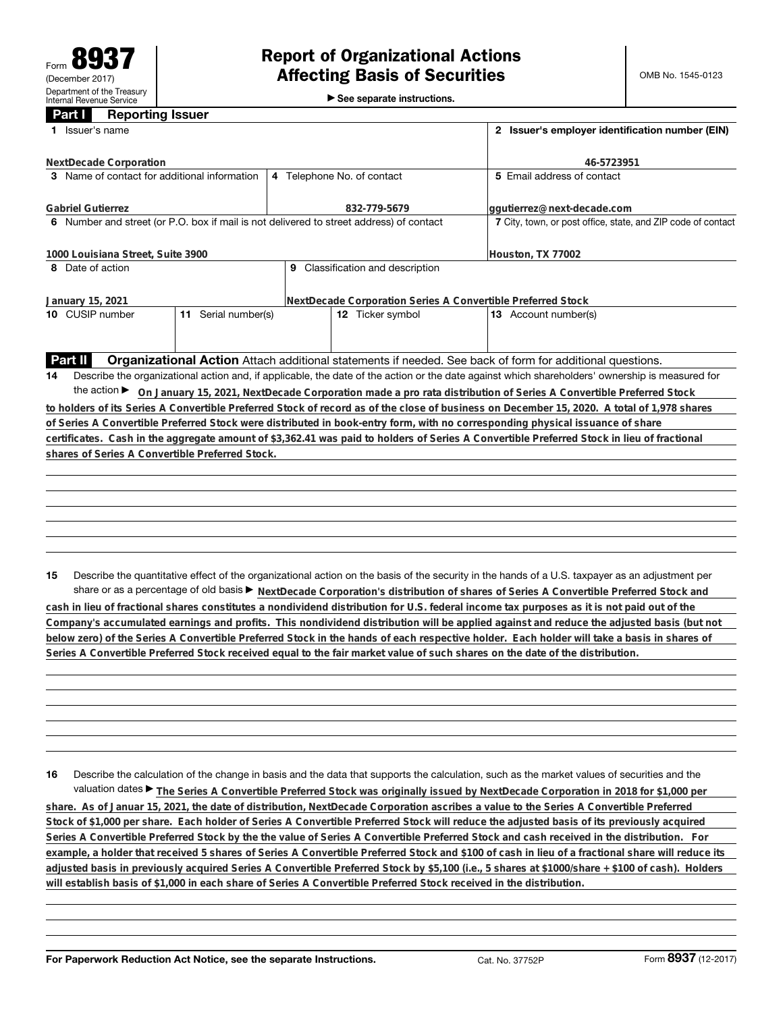►<br>► See separate instructions.

## **Part I Reporting Issuer**

| Issuer's name                                   |                                                                                         | 2 Issuer's employer identification number (EIN)              |                                                                                                                                                 |  |
|-------------------------------------------------|-----------------------------------------------------------------------------------------|--------------------------------------------------------------|-------------------------------------------------------------------------------------------------------------------------------------------------|--|
| NextDecade Corporation                          |                                                                                         | 46-5723951                                                   |                                                                                                                                                 |  |
| 3 Name of contact for additional information    |                                                                                         | 4 Telephone No. of contact                                   | 5 Email address of contact                                                                                                                      |  |
| <b>Gabriel Gutierrez</b>                        |                                                                                         | 832-779-5679                                                 | ggutierrez@next-decade.com                                                                                                                      |  |
|                                                 | 6 Number and street (or P.O. box if mail is not delivered to street address) of contact | 7 City, town, or post office, state, and ZIP code of contact |                                                                                                                                                 |  |
| 1000 Louisiana Street, Suite 3900               |                                                                                         | Houston, TX 77002                                            |                                                                                                                                                 |  |
| 8 Date of action                                |                                                                                         |                                                              |                                                                                                                                                 |  |
| January 15, 2021                                |                                                                                         | NextDecade Corporation Series A Convertible Preferred Stock  |                                                                                                                                                 |  |
| 10 CUSIP number                                 | 11 Serial number(s)                                                                     | 12 Ticker symbol                                             | 13 Account number(s)                                                                                                                            |  |
|                                                 |                                                                                         |                                                              |                                                                                                                                                 |  |
| Part II                                         |                                                                                         |                                                              | Organizational Action Attach additional statements if needed. See back of form for additional questions.                                        |  |
| 14                                              |                                                                                         |                                                              | Describe the organizational action and, if applicable, the date of the action or the date against which shareholders' ownership is measured for |  |
| the action $\blacktriangleright$                |                                                                                         |                                                              | On January 15, 2021, NextDecade Corporation made a pro rata distribution of Series A Convertible Preferred Stock                                |  |
|                                                 |                                                                                         |                                                              | to holders of its Series A Convertible Preferred Stock of record as of the close of business on December 15, 2020. A total of 1,978 shares      |  |
|                                                 |                                                                                         |                                                              | of Series A Convertible Preferred Stock were distributed in book-entry form, with no corresponding physical issuance of share                   |  |
|                                                 |                                                                                         |                                                              | certificates. Cash in the aggregate amount of \$3,362.41 was paid to holders of Series A Convertible Preferred Stock in lieu of fractional      |  |
| shares of Series A Convertible Preferred Stock. |                                                                                         |                                                              |                                                                                                                                                 |  |
|                                                 |                                                                                         |                                                              |                                                                                                                                                 |  |
|                                                 |                                                                                         |                                                              |                                                                                                                                                 |  |
|                                                 |                                                                                         |                                                              |                                                                                                                                                 |  |
|                                                 |                                                                                         |                                                              |                                                                                                                                                 |  |
|                                                 |                                                                                         |                                                              |                                                                                                                                                 |  |
|                                                 |                                                                                         |                                                              |                                                                                                                                                 |  |
|                                                 |                                                                                         |                                                              |                                                                                                                                                 |  |
| 15                                              |                                                                                         |                                                              | Describe the quantitative effect of the organizational action on the basis of the security in the hands of a U.S. taxpayer as an adjustment per |  |
|                                                 |                                                                                         |                                                              | share or as a percentage of old basis > NextDecade Corporation's distribution of shares of Series A Convertible Preferred Stock and             |  |

**cash in lieu of fractional shares constitutes a nondividend distribution for U.S. federal income tax purposes as it is not paid out of the Company's accumulated earnings and profits. This nondividend distribution will be applied against and reduce the adjusted basis (but not below zero) of the Series A Convertible Preferred Stock in the hands of each respective holder. Each holder will take a basis in shares of Series A Convertible Preferred Stock received equal to the fair market value of such shares on the date of the distribution.**

**16** Describe the calculation of the change in basis and the data that supports the calculation, such as the market values of securities and the valuation dates ▶ The Series A Convertible Preferred Stock was originally issued by NextDecade Corporation in 2018 for \$1,000 per **share. As of Januar 15, 2021, the date of distribution, NextDecade Corporation ascribes a value to the Series A Convertible Preferred Stock of \$1,000 per share. Each holder of Series A Convertible Preferred Stock will reduce the adjusted basis of its previously acquired Series A Convertible Preferred Stock by the the value of Series A Convertible Preferred Stock and cash received in the distribution. For example, a holder that received 5 shares of Series A Convertible Preferred Stock and \$100 of cash in lieu of a fractional share will reduce its adjusted basis in previously acquired Series A Convertible Preferred Stock by \$5,100 (i.e., 5 shares at \$1000/share + \$100 of cash). Holders will establish basis of \$1,000 in each share of Series A Convertible Preferred Stock received in the distribution.**